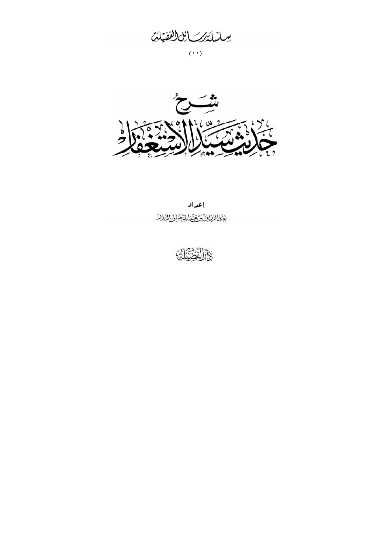يسليلة كمسابق لفقيلت

 $(11)$ 



إعداد عَذَ الْإِزَاقَ تَوَبَّعَيْنَا لِمُخْشَوْرٌ إِلَيْهِ لَهُ

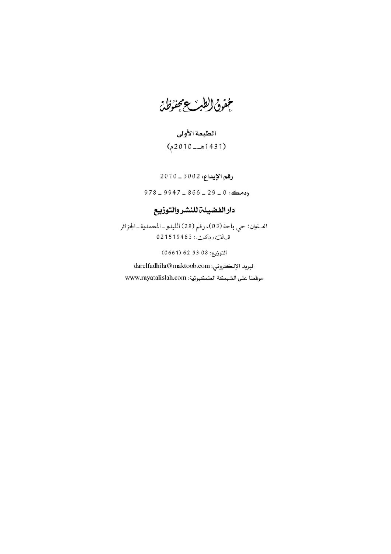مخفوق الطبر ويحفؤظ

## الطبعة الأولى (1431هــ 2010م)

## رقم الإيداء: 3002 \_ 2010  $978 - 9947 - 866 - 29 - 0$

## دار الفضيلة للنشر والتوزيع

العنوان: حي باحة (03)، رقم (28) الليدو\_المحمدية\_الجزائر ه بانف ، فاكتبر : 194631920

التوزيع: 08 53 62 661)

البريد الإلكتروني: darelfadhila@maktoob.com موقعنا على الشبكة العنكبوتية: www.rayatalislah.com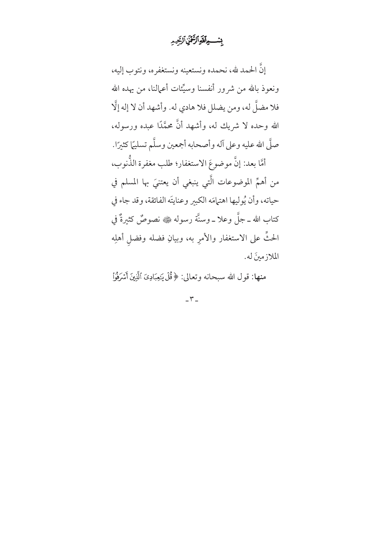بنسوآتيرالزَّقْنِ ٱلرَّحيد

إنَّ الحمد لله، نحمده ونستعينه ونستغفره، ونتوب إليه، ونعوذ بالله من شرور أنفسنا وسيِّئات أعمالنا، من يهده الله فلا مضلَّ له، ومن يضلل فلا هادي له. وأشهد أن لا إله إلَّا الله وحده لا شريك له، وأشهد أنَّ محمَّدًا عبده ورسوله، صلَّى الله عليه وعلى آله وأصحابه أجمعين وسلَّم تسليمًا كثبرًا. أمَّا بعد: إنَّ موضوعَ الاستغفار؛ طلب مغفرة الذُّنوب، من أهمِّ الموضوعات الَّتي ينبغي أن يعتنيَ بها المسلم في حياته، وأن يُولِيها اهتمامَه الكبير وعنايتَه الفائقة، وقد جاء في كتاب الله ــ جلَّ وعلا ــ وسنَّة رسوله ﷺ نصوصٌ كثيرةٌ في الحثِّ على الاستغفار والأمر به، وبيانِ فضله وفضل أهلِه الملازمينَ له.

منها: قول الله سبحانه وتعالى: ﴿قُلْ يَـٰعِبَادِىَ ٱلَّذِينَ أَسۡرَفُوۡأَ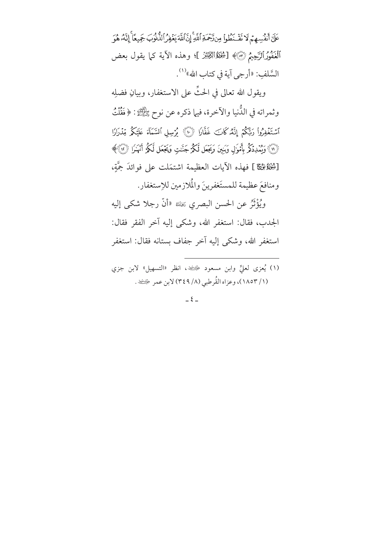عَلَىٰٓ أَنفُسِهِمۡ لَا نَفَّىٰٓظُواْ مِن(َحۡمَةِ ٱللَّهِۚ إِنَّ ٱللَّهَ يَغۡفِرُ ٱلذُّنُوبَ جَمِيعًا ۚ إِنَّهُۥ هُوَ ٱلۡغَفُوۡرَالرَّحِيمُ ۞﴾ [شِخَلَةُاللَّهِيمَنّ ]؛ وهذه الآية كما يقول بعض السَّلفِ: «أرجى آية في كتاب الله»<sup>(١)</sup>.

ويقول الله تعالى في الحثِّ على الاستغفار، وبيانِ فضلِه وثمراته في الدُّنيا والآخرة، فيها ذكره عن نوح ﷺ: ﴿فَقُلْتُ ٱسۡتَغۡفِرُوا۟ رَبِّكُمۡ إِنَّهُۥكَانَ غَفَّارٗا ۞ يُرۡسِلِ ٱلسَّمَآءَ عَلَيۡكُمۡ مِّدۡرَارٗا ۞) وَيُمَدِدَكُمُ بِأَمْوَلِ وَبَنِينَ وَيَجَعَل لَكُمْ جَنَّدِ وَيَجْعَل لَكُمُ أَنْهَدَل (٣) ﴾ [شِخْلَةٌ﴿ قَ ] فهذه الآيات العظيمة اشتمَلت على فوائدَ جَمَّةٍ، ومنافعَ عظيمة للمستَغفرينَ والْمُلازمين للإستغفار.

ويُؤْثَرُ عن الحسن البصري ﷺ «أنَّ رجلا شكى إليه الجدب، فقال: استغفر الله، وشكى إليه آخر الفقر فقال: استغفر الله، وشك<sub>ّى</sub> إليه آخر جفاف بستانه فقال: استغفر

(١) يُعزى لعليٍّ وابن مسعود ﴿ عَيْضَهِ، انظر «التسهيل» لابن جزي (١/ ١٨٥٣)، وعزاه القُرطبي (٨/ ٣٤٩) لابن عمر ﴿ يَفْضِ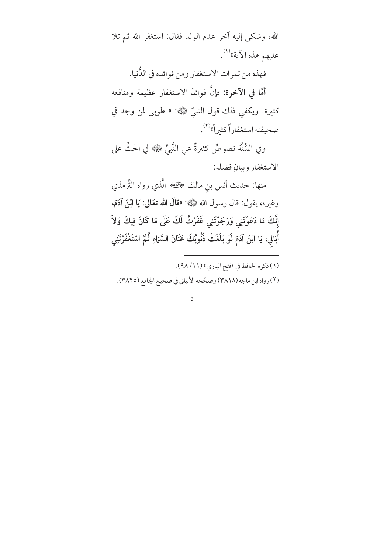الله، وشكى إليه آخر عدم الولد فقال: استغفر الله ثم تلا عليهم هذه الآية»<sup>(١)</sup>.

فهذه من ثمرات الاستغفار ومن فوائده في الدُّنيا.

أمَّا في الآخرة: فإنَّ فوائدَ الاستغفار عظيمة ومنافعه كثيرة. ويكفي ذلك قول النبيِّ ﷺ: « طوبى لمن وجد في صحيفته استغفاراً كثيراً»<sup>(٢)</sup>.

وفي السُّنَّة نصوصٌ كثيرةٌ عن النَّبيِّ ﷺ في الحثِّ على الاستغفار وبيانِ فضله:

منها: حديث أنس بنِ مالك ﴿لِلْفَـٰهِ الَّذي رواه التِّرمذي وغيره، يقول: قال رسول الله ﷺ: «قالَ الله تعَالى: يَا ابْنَ آدَمَ، إِنَّكَ مَا دَعَوْتَنِي وَرَجَوْتَنِي غَفَرْتُ لَكَ عَلَى مَا كَانَ فِيكَ وَلاَ أَبَالِي، يَا ابْنَ اَدَمَ لَوْ بَلَغَتْ ذُنُوبُكَ عَنَانَ السَّمَاءِ ثُمَّ اسْتَغْفَرْتَنِى

(١) ذكره الحافظ في «فتح الباري» (١١/ ٩٨).

(٢) رواه ابن ماجه (٣٨١٨) وصحّحه الألباني في صحيح الجامع (٣٨٢٥).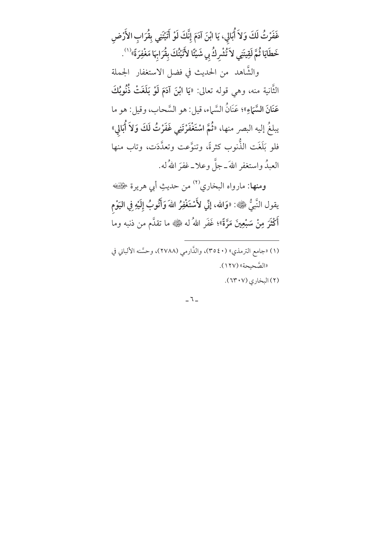غَفَرْتُ لَكَ وَلاَ أُبَالِي، يَا ابْنَ آدَمَ إِنَّكَ لَوْ أَتَيْتَنِي بِقُرَابِ الأَرْضِ خَطَايَا ثُمَّ لَقِيتَنِي لاَ تُشْرِكُ بِي شَيْئًا لأَتَيْتُكَ بِقُرَابِهَا مَغْفِرَةً»<sup>(١)</sup>. والشَّاهد من الحديث في فضل الاستغفار الجملة الثَّانية منه، وهي قوله تعالى: «يَا ابْنَ آدَمَ لَوْ بَلَغَتْ ذُنُوبُكَ عَنَانَ السَّمَاءِ»؛ عَنَانُ السَّماء، قيل: هو السَّحاب، وقيل: هو ما يبلغُ إليه البصر منها، «ثُمَّ اسْتَغْفَرْتَنِي غَفَرْتُ لَكَ وَلاَ أَبَالِي» فلو بَلَغَت الذُّنوب كثرةً، وتنوَّعت وتعدَّدَت، وتاب منها العبدُ واستغفر اللهَ ــ جلَّ وعلا ــ غفرَ اللهُ له.

**ومنها**: مارواه البخاري<sup>(٢)</sup> من حديثِ أبي هريرة ﴿ يقول النَّبيُّ ﷺ: «وَالله، إنِّي لأَسْتَغْفِرُ اللهَ وَأَثَّوبُ إِلَيْهِ فِي اليَوْم أَكْثَرَ مِنْ سَبْعِينَ مَرَّةً»؛ غَفَر اللهُ له ﷺ ما تقدَّم من ذنبه وما

- (١) «جامع الترمذي» (٤٥٤٠)، والذَّارمي (٢٧٨٨)، وحسَّنه الألباني في «الصَّحِيحة» (١٢٧).
	- (٢) البخاري (٢٠٧).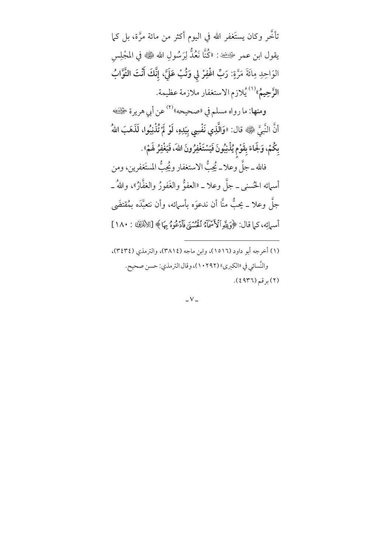تأخَّر وكان يستَغفر الله في اليوم أكثر من مائة مرَّة، بل كما يقول ابن عمر ﴿ يَتَّفِيهِ: «كُنَّا نَعُدُّ لِرَسُولِ الله ﷺ في المجْلِسِ الوَاحِدِ مِائَةَ مَرَّةٍ: رَبِّ اغْفِرْ لي وَتُبْ عَلَيَّ، إِنَّكَ أَنْتَ التَّوَّابُ ا**لرَّحِيمُ**»<sup>(۱) </sup>يُلازم الاستغفار ملازمة عظيمة.

ومنها: ما رواه مسلم في «صحيحه»<sup>(٢)</sup> عن أبي هريرة ﴿لِلْفَـٰه أَنَّ النَّبِيَّ ﷺ قال: «وَالَّذِي نَفْسِى بِيَدِهِ، لَوْ لَمْ تُذْنِبُوا، لَذَهَبَ اللهُ بِكُمْ، وَلَجَاءَ بِقَوْمٍ يُذْنِبُونَ فَيَسْتَغْفِرُونَ اللَّهَ، فَيَغْفِرُ لَهُمْ».

فالله ــ جلَّ وعلا ــ يُحِبُّ الاستغفار ويُحِبُّ المستَغفرين، ومن

أسمائه الحُسنى ــ جلَّ وعلا ــ «العفوُّ والغَفورُ والغفَّارُ»، واللهُ ــ جلَّ وعلا ــ يحبُّ منَّا أن ندعوَه بأسمائه، وأن نتعبَّدَه بمُقتضَى أسمائِه، كما قال: ﴿وَلِلَّهِ ٱلْأَسْمَآءُ ٱلْمُسْنَىٰ فَأَدْعُوهُ بِهَا ﴾ [الأَجْلَاكِ : ١٨٠]

(۱) أخرجه أبو داود (۱۵۱۲)، وابن ماجه (۳۸۱٤)، والترمذي (۳٤٣٤)، والنُّسائي في «الكبرى» (١٠٢٩٢)، وقال الترمذي: حسن صحيح. (٢) برقم (٤٩٣٦).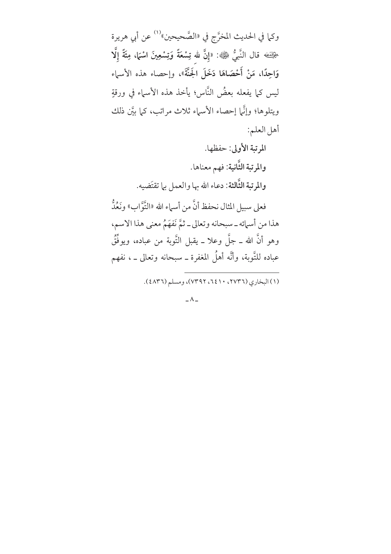وكما في الحديث المخرَّج في «الصَّحيحين»<sup>(١)</sup> عن أبي هريرة حِيْثَتَه قال النَّبِيُّ ﷺ: «إِنَّ لله تِسْعَةً وَتِسْعِينَ اسْمَا، مِئَةً إِلَّا وَاحِدًا، مَنْ أَحْصَاهَا دَخَلَ الْجَنَّةَ»، وإحصاء هذه الأسماء ليس كما يفعله بعضُ النَّاس؛ يأخذ هذه الأسماء في ورقةٍ ويتلوها؛ وإنَّما إحصاء الأسماء ثلاث مراتب، كما بيَّن ذلك أهل العلم: المرتبة الأولى: حفظها. والمرتبة الثَّانية: فهم معناها. والمرتبة الثَّالثة: دعاء الله بها والعمل بها تقتَضيه. فعلى سبيل المثال نحفظ أنَّ من أسماء الله «التَّوَّابِ» ونَعُدُّ هذا من أسمائه ــ سبحانه وتعالى ــ ثمَّ نَفهَمُ معنى هذا الاسم، وهو أنَّ الله ــ جلَّ وعلا ــ يقبل التَّوبة من عباده، ويوفَّقُ عباده للتَّوبة، وأنَّه أهلُ المغفرة ــ سبحانه وتعالى ــ ، نفهم

(۱) البخاري (٢٧٣٦، ٢٤١٠، ٧٣٩٢)، ومسلم (٤٨٣٦).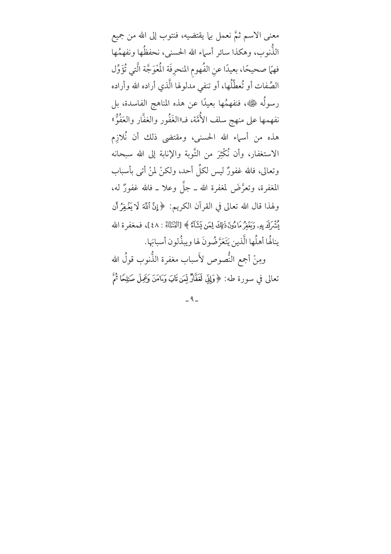معنى الاسم ثمَّ نعمل بيا يقتضيه، فنتوب إلى الله من جميع الذُّنوب، وهكذا سائر أسماء الله الحسني، نحفظُها ونفهمُها فهمَّا صحيحًا، بعيدًا عنِ الفُهوم المنحرِفَة الْمُوَجَّة الَّتي تُؤَوِّل الصِّفات أو تُعطِّلُها، أو تنفى مدلولها الَّذي أراده الله وأراده رسولُه ﷺ، فنفهمُها بعيدًا عن هذه المناهج الفاسدة، بل نفهمها على منهج سلف الأُمَّة، فـ«الغَفُور والغفَّار والعَفُوٌّ» هذه من أسماء الله الحسنى، ومقتضى ذلك أن نُلازِم الاستغفار، وأن نُكْثِرَ من التَّوبة والإنابة إلى الله سبحانه وتعالى، فالله غفورٌ ليس لكلِّ أحد، ولكنْ لمنْ أتى بأسباب المغفرة، وتعرَّضَ لمغفرة الله ــ جلَّ وعلا ــ فالله غفورٌ له، ولهذا قال الله تعالى في القرآن الكريم: ﴿إِنَّ ٱللَّهَ لَا يَغْفِرُ أَن يُشِّرَكَ بِهِۦ وَيَغْفِرُ مَا دُونَ ذَلِكَ لِمَن يَشَآءُ ﴾ [النِّنتَبْنَا : ٤٨]، فمعفر ة الله ينالُها أهلُها الَّذين يَتَعَرَّضُونَ لها ويبذُّلون أسبابَها. ومِنْ أجمع النُّصوص لأَسباب مغفرة الذُّنوب قولُ الله

تعالى في سورة طه: ﴿وَلِلِّي لَغَفَّارٌ لِّمَن تَابَ وَءَامَنَ وَعِمِلَ صَلِحًا ثُمَّ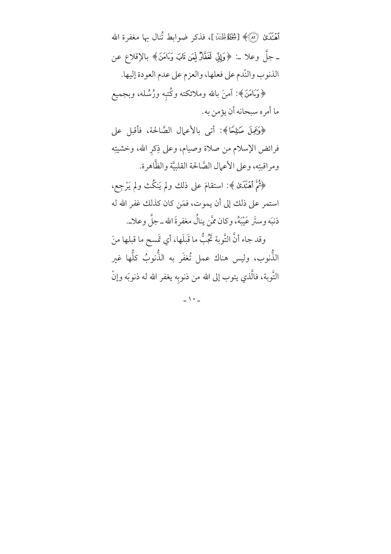أَهَنَّدَىٰ ۞﴾ [شِخَلَةُ ظَنَّنْا ]، فذكر ضوابط تُنال بها مغفرة الله ـ جلَّ وعلا ــ: ﴿وَإِنِّي لَغَفَّارٌ لِمَن تَابَ وَءَامَنَ﴾ بالإقلاع عن الذنوب والنّدم على فعلها، والعزم على عدم العودة إليها.

﴿وَءَامَنَ﴾: آمنَ بالله وملائكته وكُتبه ورُسُله، وبجميع ما أمره سبحانه أن يؤمن به.

﴿وَعَمِلَ صَلِحًا﴾: أتى بالأعمال الصَّالحة، فأقبل على فرائض الإسلام من صلاة وصيام، وعلى ذِكرِ الله، وخشيتِه ومراقبتِه، وعلى الأعمال الصَّالحة القلبيَّة والظَّاهرة.

﴿ثُمَّ ٱهۡنَدَىٰ ﴾: استقامَ على ذلك ولم يَنكُث ولم يَرْجِع، استمر على ذلك إلى أن يموت، فمَن كان كذلك غفر الله له ذنبَه وستَر عَيْبَهُ، وكان ممَّن ينالُ مغفرةَ الله ــ جلَّ وعلاــ.

وقد جاء أنَّ التَّوبة تَجُبُّ ما قَبلَها، أي تَمسح ما قبلها منَ الذُّنوب، وليس هناك عمل تُغفَر به الذُّنوبُ كلُّها غير التَّوبة، فالَّذي يتوب إلى الله من ذنوبه يغفر الله له ذنوبَه وإنْ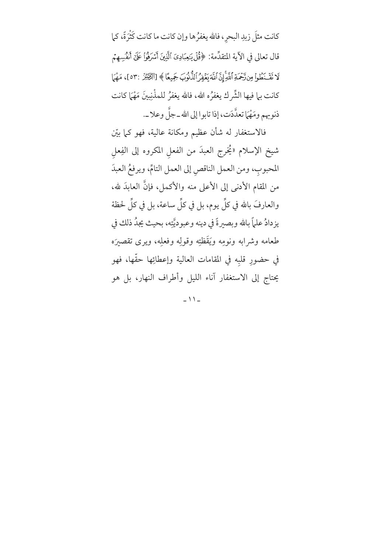كانت مثلَ زبدِ البحرِ، فالله يغفرُها وإن كانت ما كانت كَثْرَةً، كما قال تعالى في الآية المتقدِّمة: ﴿قُلْ يَـٰعِبَادِيَ ٱلَّذِينَ ٱسۡرَفُوۡا عَلَىٰٓ أَنفُسِهِمۡم لَا نَقَّنَطُواْ مِن نَّحْمَةِ اللَّهِ إِنَّ اللَّهَ يَغْفِرُ الذُّنُوبَ جَمِيعًا ﴾ [الثِّبَيْرُ :٥٣]، مَهْمَا كانت بيا فيها الشِّرك يغفرُه الله، فالله يغفرُ للمذْنِبِينَ مَهْمَا كانت ذنوبهم ومَهْمَا تعدَّدَت، إذا تابوا إلى الله ـ جلَّ وعلا ــ.

فالاستغفار له شأن عظيم ومكانة عالية، فهو كما بيّن شيخ الإسلام «يُخرِج العبدَ من الفعل المكروه إلى الفِعل المحبوب، ومن العمل الناقص إلى العمل التامِّ، ويرفعُ العبدَ من المقام الأدنى إلى الأعلى منه والأكمل، فإنَّ العابدَ لله، والعارفَ بالله في كلِّ يوم، بل في كلِّ ساعة، بل في كلِّ لحظة يزدادٌ علماً بالله وبصيرةً في دينه وعبوديَّتِه، بحيث يجدُ ذلك في طعامه وشرابه ونومِه ويَقَظِّتِه وقولِه وفعلِه، ويرى تقصيرَه في حضورِ قلبِه في المقامات العالية وإعطائِها حقَّها، فهو يحتاج إلى الاستغفار آناء الليل وأطراف النهار، بل هو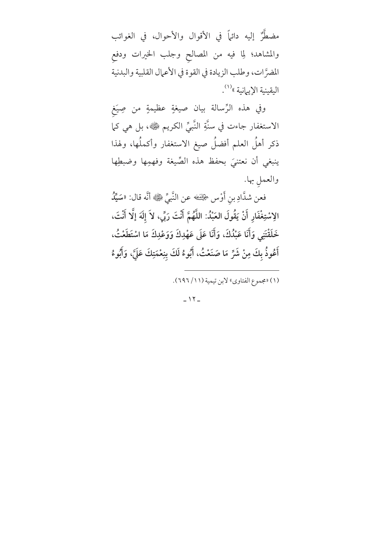مضطَّرٌ إليه دائهاً في الأقوال والأحوال، في الغوائب والمشاهد؛ لِما فيه من المصالح وجلب الخيرات ودفع المضرَّات، وطلب الزيادة في القوة في الأعمال القلبية والبدنية اليقينية الإيهانية »<sup>(١)</sup>.

وفي هذه الرِّسالة بيان صيغةٍ عظيمةٍ من صِيَغ الاستغفار جاءت في سنَّةِ النَّبيِّ الكريم ﷺ، بل هي كما ذكر أهلُ العلم أفضلُ صيغ الاستغفار وأكملُها، ولهذا ينبغي أن نعتنيَ بحفظ هذه الصِّيغة وفهمِها وضبطِها والعمل بها.

فعن شدَّادِ بنِ أَوْس ﴿يَفْضُه عن النَّبِيِّ ﷺ أَنَّه قال: «سَيِّدُ الِاسْتِغْفَارِ أَنْ يَقُولَ العَبْدُ: اللَّهُمَّ أَنْتَ رَبِّي، لاَ إلَهَ إلَّا أَنْتَ، خَلَقْتَنِي وَأَنَا عَبْدُكَ، وَأَنَا عَلَى عَهْدِكَ وَوَعْدِكَ مَا اسْتَطَعْتُ، أَعُوذُ بِكَ مِنْ شَرِّ مَا صَنَعْتُ، أَبُوءُ لَكَ بِنِعْمَتِكَ عَلَىَّ، وَأَبُوءُ

(١) «مجموع الفتاوي» لابن تيمية (١١/ ٦٩٦).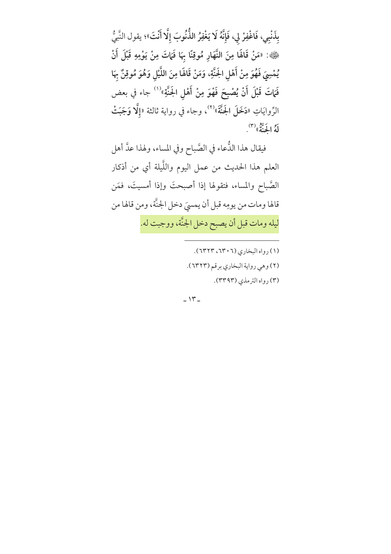بِذَنْبِي، فَاغْفِرْ لِي، فَإِنَّهُ لَا يَغْفِرُ الذُّنُوبَ إِلَّا أَنْتَ»؛ يقول النَّبِيُّ ﴿»: «مَنْ قَالَهَا مِنَ النَّهَارِ مُوقِنًا بِهَا فَمَاتَ مِنْ يَوْمِهِ قَبْلَ أَنْ يُمْسِيَ فَهُوَ مِنْ أَهْلِ الجَنَّةِ، وَمَنْ قَالَها مِنَ اللَّيْلِ وَهُوَ مُوقِنٌ بِهَا فَمَاتَ قَبْلَ أَنْ يُصْبِحَ فَهْوَ مِنْ أَهْلِ الجَنَّةِ»<sup>(١)</sup> جاء في بعض الرِّوايَاتِ «دَخَلَ الجَنَّةَ»<sup>(٢)</sup>، وجاء في رواية ثالثة «إلَّا وَجَبَتْ لَهُ الْجَنَّةُ» (٣)

فيقال هذا الدُّعاء في الصَّباح وفي المساء، ولهذا عدَّ أهل العلم هذا الحديث من عمل اليوم واللَّيلة أي من أذكار الصَّباح والمساء، فتقولها إذا أصبحتَ وإذا أمسيتَ، فمَن قالها ومات من يومِه قبل أن يمسيَ دخل الجنَّة، ومن قالها من ليله ومات قبل أن يصبح دخل الجنَّة، ووجبت له.

(١) رواه البخاري (٦٣٠٦، ٦٣٢٣).

(٢) وهي رواية البخاري برقم (٦٣٢٣).

(٣) رواه الترمذي (٣٣٩٣).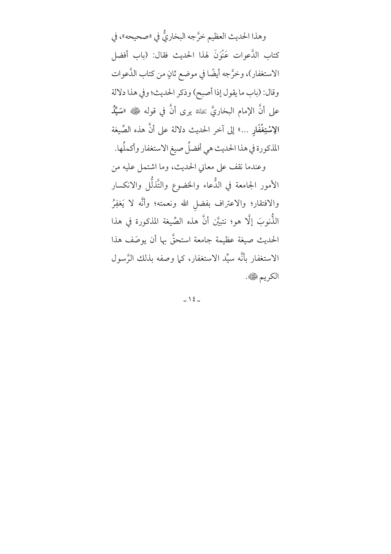وهذا الحديث العظيم خرَّجه البخاريُّ في «صحيحه»، في كتاب الدَّعوات عَنْوَنَ لهذا الحديث فقال: (باب أفضل الاستغفار)، وخرَّجه أيضًا في موضع ثانٍ من كتاب الدَّعوات وقال: (باب ما يقول إذا أصبح) وذكر الحديث؛ وفي هذا دلالة على أنَّ الإمام البخاريَّ ﷺ يرى أنَّ في قوله ﷺ «سَيِّ**لُ** الِاسْتِغْفَارِ …» إلى آخر الحديث دلالة على أنَّ هذه الصِّيغة المذكورة في هذا الحديث هي أفضلُ صيغ الاستغفار وأكملُها. وعندما نقف على معاني الحديث، وما اشتمل عليه من الأمور الجامعة في الدُّعاء والخضوع والتَّذلُّل والانكسار والافتقار؛ والاعتراف بفضل الله ونعمته؛ وأنَّه لا يَغفِرُ الذُّنوبَ إلَّا هو؛ نتبيَّن أنَّ هذه الصِّيغة المذكورة في هذا الحديث صيغة عظيمة جامعة استحقَّ بها أن يوصَف هذا الاستغفار بأنَّه سيِّد الاستغفار، كما وصفه بذلك الرَّسول

الكريم ڇُ .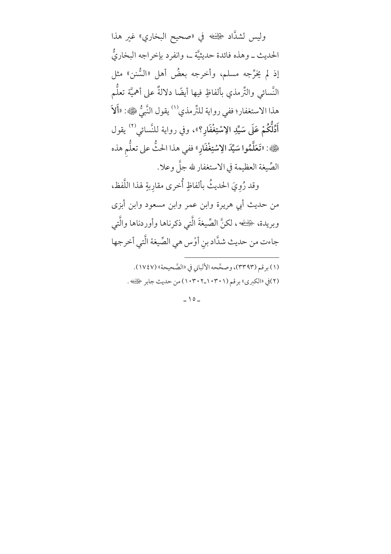وليس لشدَّاد ﴿يَنْفُ فِي «صحيح البخاري» غير هذا الحديث ــ وهذه فائدة حديثيَّة ــ، وانفرد بإخراجه البخاريُّ إذ لم يَخرِّجه مسلم، وأخرجه بعضُ أهل «السُّنن» مثل النَّسائي والتِّرمذي بألفاظٍ فيها أيضًا دلالةٌ على أهميَّة تعلُّم هذا الاستغفار؛ ففي رواية للتِّرمذي<sup>(١)</sup> يقول النَّبِيُّ ١١١٠١٤ قَلاَ أَدُلُّكُمْ عَلَى سَيِّدِ الِاسْتِغْفَارِ؟»، وفي رواية للنَّسائي<sup>(٢)</sup> يقول ﴿»: «تَعَلَّمُوا سَيِّدَ الِاسْتِغْفَارِ» ففي هذا الحتُّ على تعلُّم هذه الصِّيغة العظيمة في الاستغفار لله جلَّ وعلا. وقد رُوِيَ الحديثُ بألفاظٍ أُخرى مقارِبةٍ لهذا اللَّفظ، من حديث أبي هريرة وابن عمر وابن مسعود وابن أبزى

وبريدة، ﴿يَفْسُه ، لكنَّ الصِّيغةَ الَّتي ذكرناها وأوردناها والَّتي جاءت من حديث شدَّاد بنِ أوْس هي الصِّيغة الَّتي أخرجها

(١) برقم (٣٣٩٣)، وصحَّحه الألباني في «الصَّحيحة» (١٧٤٧). (٢)في «الكبرى» برقم (١٠٣٠١\_١٠٣٠٢) من حديث جابر ﴿يَفْضَهُ .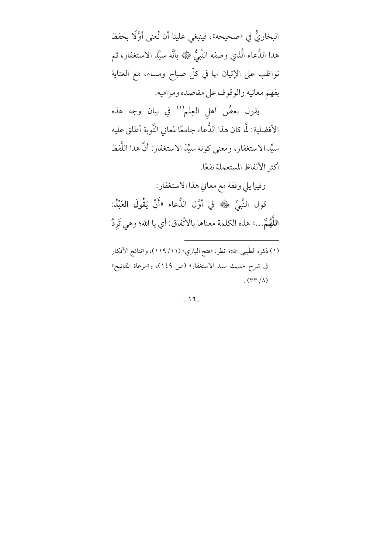البخاريُّ في «صحيحه»، فينبغي علينا أن نُعنى أوَّلًا بحفظ هذا الدُّعاء الَّذي وصفه النَّبيُّ ﷺ بأنَّه سيِّد الاستغفار، ثم نواظب على الإتيان بها في كلّ صباح ومساء، مع العناية بفهم معانيه والوقوف على مقاصده ومراميه.

يقول بعضُ أهل العِلْم <sup>(١)</sup> في بيان وجه هذه الأفضلية: لَّا كان هذا الدُّعاء جامعًا لمعاني التَّوبة أطلق عليه سيِّد الاستغفار، ومعنى كونه سيِّدَ الاستغفار: أنَّ هذا اللَّفظ أكثر الألفاظ المستعملة نفعًا.

وفيها يلي وقفة مع معاني هذا الاستغفار: قول النَّبيِّ ﷺ في أوَّل الدُّعاء «أَنْ يَقُولَ العَبْدُ: اللَّهُمَّ...» هذه الكلمة معناها بالاتِّفاق: أي يا الله؛ وهي تَرِدُ

(١) ذكره الطِّيبي يَعَلِّنَه؛ انظر: «فتح الباري» (١١/ ١١٩)، و«نتائج الأفكار في شرح حديث سيد الاستغفار» (ص ١٤٩)، و«مرعاة المفاتيح»  $\Lambda$  (۳۳/۸)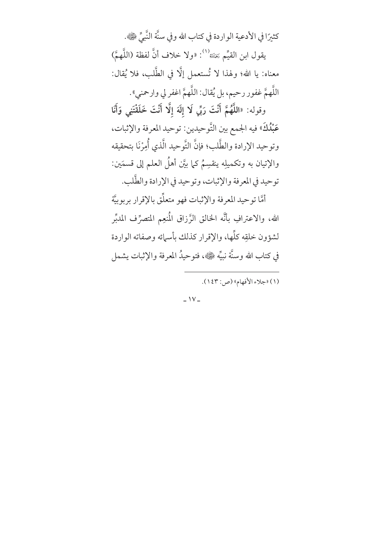كثيرًا في الأدعية الواردة في كتاب الله وفي سنَّة النَّبيِّ ۞. يقول ابن القيِّم ﷺ<sup>(١)</sup>: «ولا خلاف أنَّ لفظة (اللَّهمَّ) معناه: يا الله؛ ولهذا لا تُستعمل إلَّا في الطَّلب، فلا يُقال: اللَّهمَّ غفور رحيم، بل يُقال: اللَّهمَّ اغفر لي وارحمني». وقوله: «اللَّهُمَّ أَنْتَ رَبِّي لَا إِلَهَ إِلَّا أَنْتَ خَلَقْتَنِي وَأَنَا عَبْدُكَ» فيه الجمع بين التَّوحيدين: توحيد المعرفة والإثبات، وتوحيد الإرادة والطَّلب؛ فإنَّ التَّوحيد الَّذي أُمِرْنَا بتحقيقه والإتيان به وتكميلِه ينقسِمُ كما بيَّن أهلُ العلم إلى قسمَين: توحيد في المعرفة والإثبات، وتوحيد في الإرادة والطَّلب. أمَّا توحيد المعرفة والإثبات فهو متعلِّق بالإقرار بربوبيَّة الله، والاعترافِ بأنَّه الخالق الزَّزاق المُنعِم المتصرِّف المدبِّر لشؤون خلقِه كلِّها، والإقرار كذلك بأسمائه وصفاته الواردة في كتاب الله وسنَّة نبيِّه ١٤٠٠، فتوحيدُ المعرفة والإثبات يشمل

(١) «جلاء الأفهام» (ص: ١٤٣).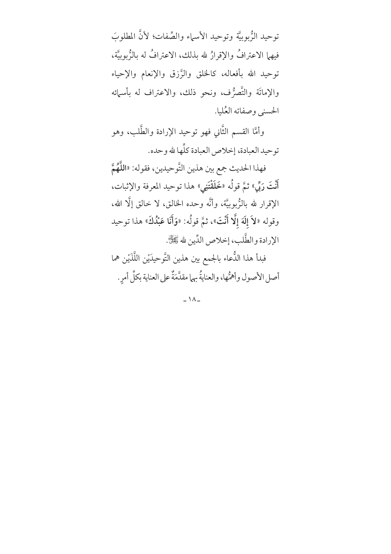توحيد الرُّبوبيَّة وتوحيد الأسماء والصِّفات؛ لأنَّ المطلوبَ فيهما الاعترافُ والإقرارُ لله بذلك، الاعترافُ له بالرُّبوبيَّة، توحيد الله بأفعاله، كالخلق والرَّزق والإنعام والإحياء والإماتَة والتَّصرُّف، ونحو ذلك، والاعتراف له بأسمائه الحسني وصفاته العُليا.

وأمَّا القسم الثَّاني فهو توحيد الإرادة والطَّلب، وهو توحيد العبادة، إخلاص العبادة كلِّها لله وحده.

فهذا الحديث جمع بين هذين التَّوحيدين، فقوله: «اللَّهُمَّ أَنْتَ رَبِّي» ثمَّ قولُه «خَلَقْتَنِي» هذا توحيد المعرفة والإثبات، الإقرار لله بالزُّبوبيَّة، وأنَّه وحده الخالق، لا خالق إلَّا الله، وقوله «لاَ إِلَهَ إِلَّا أَنْتَ»، ثمَّ قولُه: «وَأَنَا عَبْدُكَ» هذا توحيد الإرادة والطَّلب، إخلاص الدِّين لله ﷺ.

فبدأ هذا الدُّعاء بالجمع بين هذين التَّوحيدَيْن اللَّذَيْن هما أصل الأصول وأهمُّها، والعنايةُ بهما مقدَّمَةٌ على العناية بكلِّ أمرِ.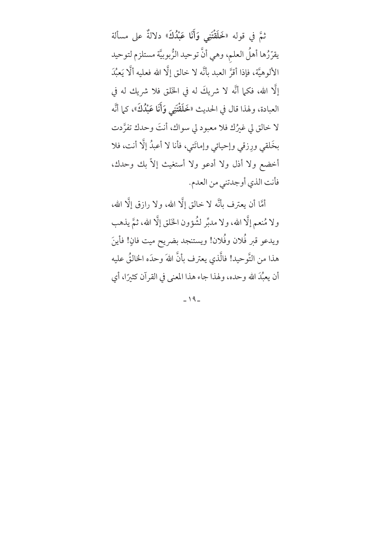ثمَّ في قوله «خَلَقْتَنِي وَأَنَا عَبْدُكَ» دلالةٌ على مسألة يقرّرُها أهلُ العلم، وهي أنَّ توحيد الرُّبوبيَّة مستلزم لتوحيد الألوهيَّة، فإذا أقرَّ العبد بأنَّه لا خالق إلَّا الله فعليه ألَّا يَعبُدَ إلَّا الله، فكما أنَّه لا شريكَ له في الخَلق فلا شريك له في العبادة، ولهذا قال في الحديث «خَلَقْتَنِي وَأَنَا عَبْدُكَ»، كما أنَّه لا خالق لي غيرُك فلا معبود لي سواك، أنتَ وحدك تفرَّدت بخَلقي ورِزقي وإحيائي وإماتَتي، فأنا لا أعبدُ إلَّا أنت، فلا أخضع ولا أذل ولا أدعو ولا أستغيث إلاّ بك وحدك، فأنت الذي أوجدتني من العدم.

أمَّا أن يعترف بأنَّه لا خالق إلَّا الله، ولا رازق إلَّا الله، ولا مُنعم إلَّا الله، ولا مدبِّر لشُؤون الخَلق إلَّا الله، ثمَّ يذهب ويدعو قبر فُلان وفُلان! ويستنجد بضريح ميت فانٍ! فأينَ هذا من التَّوحيد! فالَّذي يعترف بأنَّ اللهَ وحدَه الخالقُ عليه أن يعبُّدَ الله وحده، ولهذا جاء هذا المعنى في القرآن كثيرًا، أي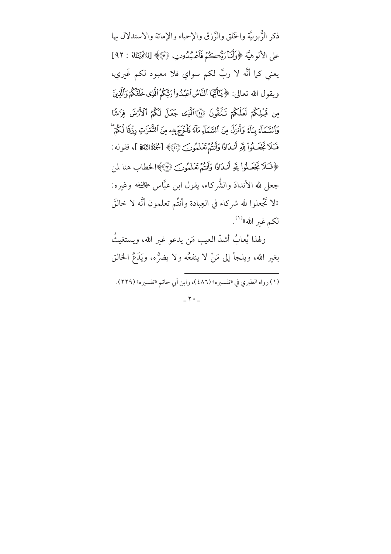ذكر الرُّبوبيَّة والخَلق والرَّزق والإحياء والإماتة والاستدلال بها على الألوهيَّة ﴿وَأَنَا رَبُّهِكُمْ فَأَعْبُدُوبِ ۞﴾ [الأنبَيَّانِهِ : ٩٢] يعني كما أنَّه لا ربَّ لكم سواي فلا معبود لكم غَيري، ويقول الله تعالى: ﴿ يَنَأَيُّهَا ٱلنَّاسُ ٱعۡبُدُوا۟ رَبَّكُمُ ٱلَّذِى خَلَقَكُمۡ وَٱلَّذِينَ مِن قَبْلِكُمْ لَعَلَّكُمْ تَنَّفُّونَ ۞ٱلَّذِى جَعَلَ لَكُمُ ٱلْأَرْضَ فِزَشًا وَالسَّمَاءَ بِنَاءَ وَأَنزَلَ مِنَ ٱلسَّمَاءِ مَآءَ فَأَخْرَجَ بِهِۦ مِنَ ٱلشَّمَرَٰتِ رِزْقَا لَكُمْ فَكَلا تَجْعَــلُواْ لِلَّهِ أَنـٰدَادًا وَأَنتُمْ تَعْـلَمُونَـَ ۞﴾ [شِخَلَةُ النِّقَةِ ]، فقوله: ﴿فَـٰلَا تَجۡمَـٰلُوا۟ لِلَّهِ أَنـٰدَادًا وَأَنتُمۡ تَعۡلَمُونَ ۞﴾الخطاب هنا لمن جعل لله الأندادَ والشُّركاء، يقول ابن عبَّاس ﴿لِلَّـٰفِ وغيره: لا تَجْعلوا لله شركاء في العِبادة وأنتُم تعلمون أنَّه لا خالقَ لكم غير الله»<sup>(۱)</sup>.

ولهذا يُعابُ أشدَّ العيب مَن يدعو غير الله، ويستغيثُ بغير الله، ويلجأ إلى مَنْ لا ينفعُه ولا يضرُّه، ويَدَعُ الخالق

(١) رواه الطبري في «تفسيره» (٤٨٦)، وابن أبي حاتم «تفسيره» (٢٢٩).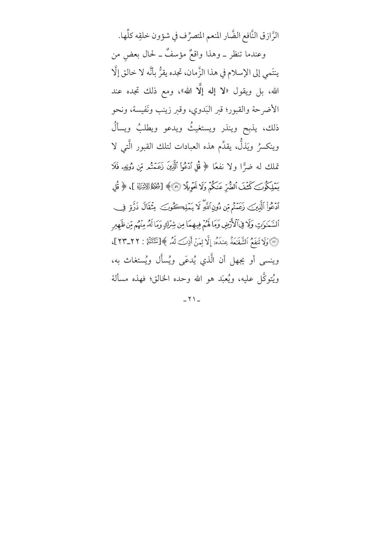الرَّازق النَّافع الضَّار المنعم المتصرِّف في شؤون خلقِه كلِّها. وعندما تنظر \_ وهذا واقعٌ مؤسفٌ \_ لحال بعض من ينتَمي إلى الإسلام في هذا الزَّمان، تجده يقرُّ بأنَّه لا خالق إلَّا الله، بل ويقول «لا إله إلَّا الله»، ومع ذلك تجده عند الأضرحة والقبور؛ قبر البَدوي، وقبر زينب ونَفيسة، ونحو ذلك، يذبح وينذر ويستغيثُ ويدعو ويطلبُ ويسألُ وينكسرُ ويَذلَّ، يقدِّم هذه العبادات لتلك القبور الَّتي لا تملك له ضرًّا ولا نفعًا ﴿ قُلِ ٱدْعُواْ ٱلَّذِينَ زَعَمْتُم مِّن دُونِهِء فَلَا يَمْلِكُونَ كَشْفَ ٱلضُّرِّ عَنكُمْ وَلَا تَحْوِيلًا ۞﴾ [شِخَاةَ الانْزَاةِ ]، ﴿ قُلِ ٱدۡعُوا۟ ٱلَّذِينَ زَعَنۡتُمۡ مِّن دُونِ ٱللَّهِ لَا يَـۡلِكۡكُونَـَ ۚ مِثۡقَالَ ذَرَّةٍ ۚ فِ ٱلسَّمَوَٰتِ وَلَا فِي ٱلْأَرْضِ وَمَا لَهُمْ فِيهِمَا مِن شِرْكِ وَمَا لَهُۥ مِنْهُم مِّن ظَهِيرِ (ْ) ۚ وَلَا نَنفَعُ ٱلشَّفَنعَةُ عِندَهُۥ إِلَّا لِمَنْ أَذِنَ لَهُۥ ﴾ [نَتَبَكُمْ! : ٢٢\_٢٣]، وينسي أو يجهل أن الَّذي يُدعَى ويُسأَل ويُستغاث به، ويُتوكَّل عليه، ويُعبَد هو الله وحده الخالق؛ فهذه مسألة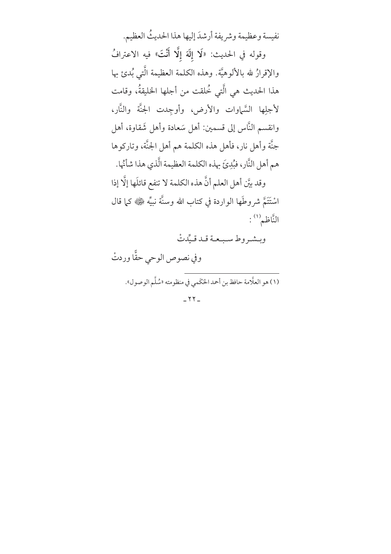نفيسة وعظيمة وشريفة أرشدَ إليها هذا الحديثُ العظيم. وقوله في الحديث: «لَا إِلَهَ إِلَّا أَنْتَ» فيه الاعترافُ والإقرارُ لله بالألوهيَّة. وهذه الكلمة العظيمة الَّتي بُدئ بها هذا الحديث هي الَّتي خُلقت من أجلها الخليقةُ، وقامت لأجلِها السَّماوات والأرض، وأوجِدت الجنَّة والنَّار، وانقسم النَّاس إلى قسمين: أهل سَعادة وأهل شَقاوة، أهل جنَّة وأهل نار، فأهل هذه الكلمة هم أهل الجنَّة، وتاركوها هم أهل النَّار، فبُدِيَّ بهذه الكلمة العظيمة الَّذي هذا شأَنْها. وقد بيَّن أهل العلم أنَّ هذه الكلمة لا تنفع قائلَها إلَّا إذا اسْتَتَمَّ شروطَها الواردة في كتاب الله وسنَّة نبيِّه ﷺ كما قال النَّاظم (١):

وبشروط سبعة قد قيِّدتْ

وفي نصوص الوحي حقًّا وردتْ

(١) هو العلَّامة حافظ بن أحمد الحَكَمي في منظومته «سُلَّم الوصول».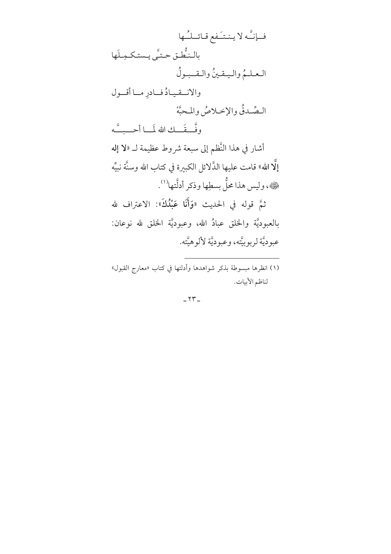فيإنَّه لا ينتَيفع قبائلُها بالـنُّطْـق حـتَّے ويـستكـمـلَها العلمُ واليقينُ والقبولُ والانتقيادُ فادرِ ما أقول السصَّدقُ والإخبلاصُ والمحبَّةْ وفَّصفَّــكِ الله لَمَـــا أحـــبـــَّه أشار في هذا النَّظم إلى سبعة شروط عظيمة لـ «لا إله إلَّا الله» قامت عليها الذَّلائل الكبيرة في كتاب الله وسنَّة نبيَّه حَمَّةِ، وليس هذا محلٌّ بسطِها وذكر أدلَّتها'''. ثمَّ قوله في الحديث «وَأَنَا عَبْدُكَ»: الاعتراف لله بالعبوديَّة والحخلق عبادٌ الله، وعبوديَّة الحخلق لله نوعان: عبو ديَّة لر بو بيَّته، وعبو ديَّة لألو هيَّته.

(١) انظرِها مُبِسَوِطَة بِذِكرِ شَوَاهِدِها وأَدَلتِها في كتابِ «معارجِ القَبْوِلِ» لناظم الأبيات.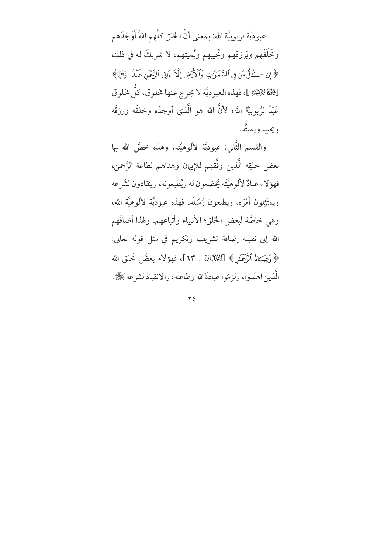عبوديَّة لربوبيَّة الله: بمعنى أنَّ الخلق كلَّهم اللهُ أَوْجَدَهم وخَلَقَهم ويَرزقهم ويُحييهم ويُميتهم، لا شريكَ له في ذلك ﴿ إِن كُلُّ مَن فِي ٱلسَّمَوَٰتِ وَٱلْأَرْضِ إِلَّا مَاتِي ٱلرَّحْمَٰنِ عَبْدًا (٣)﴾ [شُخْلَةُ مِّنْتَيْرَ، ]، فهذه العبوديَّة لا يخرج عنها مخلوق، كلُّ مخلوق عَبْدٌ لزُبوبيَّة الله؛ لأنَّ الله هو الَّذى أوجدَه وخلقَه ورزقَه ويحييه ويميتُه.

والقسم الثَّاني: عبوديَّة لألوهيَّته، وهذه خصَّ الله بها بعض خلقِه الَّذين وفَّقهم للإيهان وهداهم لطاعة الرَّحمن، فهؤ لاء عبادٌ لألو هيَّته يَخضعون له ويُطيعونه، وينقادون لشَر عه ويمتَثِلون أَمْرَه، ويطيعون رُسُلَه، فهذه عبوديَّة لألوهيَّة الله، وهي خاصَّة لبعض الحَلق؛ الأنبياء وأتباعهم، ولهذا أضافَهم الله إلى نفسِه إضافة تشريف وتكريم في مثل قوله تعالى: ﴿وَعِبَـادُ ٱلرَّحۡمَـٰنِ﴾ [اللَّهُقِتَاكِ : ٦٣]، فهؤلاء بعضُ خَلق الله الَّذين اهتَدوا، ولزمُوا عبادةَ الله وطاعتَه، والانقيادَ لشرعه تَّغَيُّلَّ .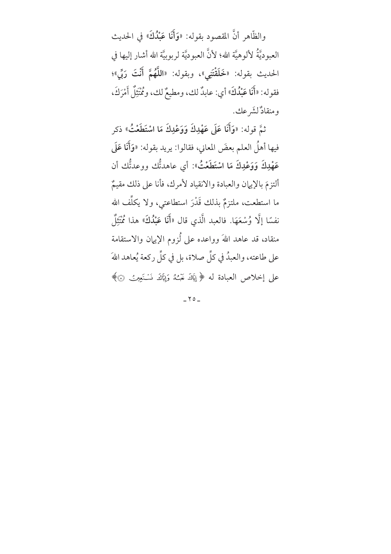والظَّاهر أنَّ المقصود بقوله: «وَأَنَا عَبْدُكَ» في الحديث العبوديَّةُ لألوهيَّة الله؛ لأنَّ العبوديَّة لربوبيَّة الله أشار إليها في الحديث بقوله: «خَلَقْتَنِي»، وبقوله: «اللَّهُمَّ أَنْتَ رَبِّي»؛ فقوله: «أَنَا عَبْدُكَ» أي: عابدٌ لك، ومطيعٌ لك، ومُمْتَثِلٌ أَمْرَكَ، ومنقادٌ لشَّر عك.

ثمَّ قوله: «وَأَنَا عَلَى عَهْدِكَ وَوَعْدِكَ مَا اسْتَطَعْتُ» ذكر فيها أهلُ العلم بعضَ المعاني، فقالوا: يريد بقوله: «وَأَنَا عَلَى عَهْدِكَ وَوَعْدِكَ مَا اسْتَطَعْتُ»: أي عاهدتُّك ووعدتُّك أن ألتزمَ بالإيهان والعبادة والانقياد لأمرك، فأنا على ذلك مقيمٌ ما استطعت، ملتزمٌ بذلك قَدْرَ استطاعتى، ولا يكلِّف الله نفسًا إلَّا وُسْعَهَا. فالعبد الَّذي قال «أَنَا عَبْدُكَ» هذا مُمَّتِلٌ منقاد، قد عاهد اللهَ وواعده على لُزوم الإيهان والاستقامة على طاعته، والعبدُ في كلِّ صلاة، بل في كلِّ ركعة يُعاهد اللهَ على إخلاص العبادة له ﴿ إِيَاكَ نَعْبُدُ وَإِيَّاكَ نَسْتَعِينُ ۞﴾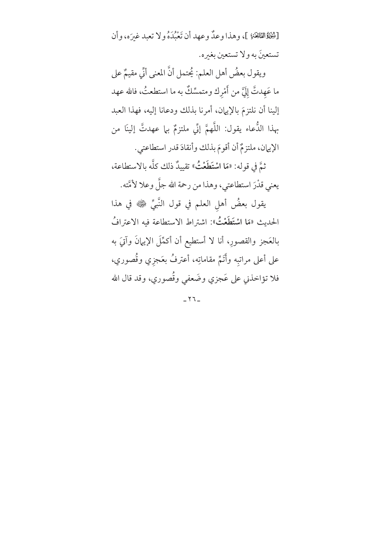[شِخْلَةُالثَانِخَةِ ]، وهذا وعدٌ وعهد أن تَعْبُدَهُ ولا تعبد غيرَه، وأن تستعينَ به ولا تستعين بغيره.

ويقول بعضُ أهل العلم: يُحتمل أنَّ المعنى أنِّي مقيمٌ على ما عَهدتَّ إلَيَّ من أَمْرك ومتمسِّكٌ به ما استطعتُ، فالله عهد إلينا أن نلتزمَ بالإيهان، أمرنا بذلك ودعانا إليه، فهذا العبد بهذا الدُّعاء يقول: اللَّهمَّ إنِّي ملتزمٌ بها عهدتَّ إلينَا من الإيهان، ملتزمٌ أن أقومَ بذلك وأنقادَ قدر استطاعتي. ثمَّ في قوله: «مَا اسْتَطَعْتُ» تقييدٌ ذلك كلَّه بالاستطاعة، يعني قدْرَ استطاعتي، وهذا من رحمة الله جلَّ وعلا لأَمَّته.

يقول بعضُ أهلِ العلم في قول النَّبيِّ ﷺ في هذا الحديث «مَا ا**سْتَطَعْتُ**»: اشتراط الاستطاعة فيه الاعترافُ بالعَجزِ والقصورِ، أنا لا أستطيع أن أكمَّلَ الإيبانَ وآتيَ به على أعلى مراتبه وأَتَمَّ مقاماتِه، أعترفُ بعَجزي وقُصوري، فلا تؤاخذني على عَجزي وضَعفى وقُصوري، وقد قال الله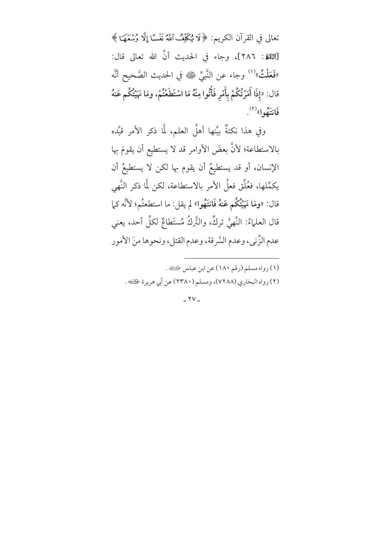تعالى في القرآن الكريم: ﴿ لَا يُكَلِّفُ ٱللَّهُ نَفْسًا إِلَّا وُسْعَهَا ﴾ [النِّقةِ : ٢٨٦]، وجاء في الحديث أنَّ الله تعالى قال: «فَعَلْتُ» (') وجاء عن النَّبيِّ ﷺ في الحديث الصَّحيح أنَّه قال: «إذَا أَمَرْتُكُمْ بِأَمْرِ فَأْتُوا مِنْهُ مَا اسْتَطَغْتُمْ، ومَا نَهَيْتُكُم عَنهُ فَانتَهُوا» ``.

وفي هذا نكتةٌ بيَّنها أهلُ العلم، لمَّا ذكر الأمر قيَّده بالاستطاعة؛ لأنَّ بعضَ الأوامر قد لا يستطيع أن يقومَ بها الإنسان، أو قد يستطيعُ أن يقوم بها لكن لا يستطيعُ أن يكمِّلها، فغُلِّق فعلُ الأمر بالاستطاعة، لكن لَّا ذكر النَّهي قال: «ومَا نَهَيْتُكُم عَنهُ فَانتَهُوا» لم يقل: ما استطعتُم؛ لأنَّه كما قال العلماءُ: النَّهيُ تركُّ، والتَّركُ مُستَطاعٌ لكلِّ أحد، يعني عدم الزِّني، وعدم السَّرقة، وعدم القتل، ونحوها منَ الأمور

- (١) رواه مسلم (رقم ١٨٠) عن ابن عباس ﴿
- (٢) رواه البخاري (٧٢٨٨)، ومسلم (٢٣٨٠) عن أبي هريرة ﴿لِنَفْ .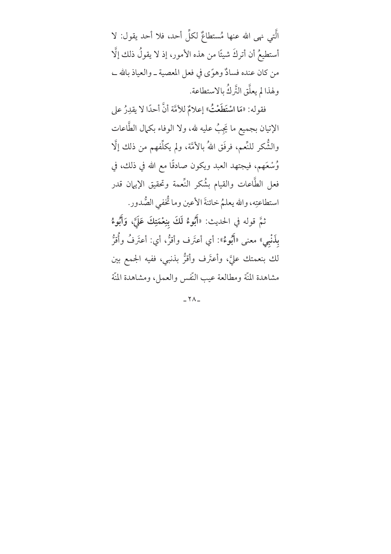الَّتِي نهى الله عنها مُستطاعٌ لكلِّ أحد، فلا أحد يقول: لا أستطيعُ أن أتركَ شيئًا من هذه الأمورِ، إذ لا يقولُ ذلك إلَّا من كان عنده فسادٌ وهوًى في فعل المعصية ــ والعياذ بالله ــ، ولهذا لم يعلَّق التَّركُ بالاستطاعة.

فقوله: «مَا اسْتَطَعْتُ» إعلامٌ للأمَّة أنَّ أحدًا لا يقدِرُ على الإتيان بجميع ما يَجِبُ عليه لله، ولا الوفاء بكمال الطَّاعات والشُّكر للنِّعم، فرفَق اللهُ بالأمَّة، ولم يكلِّفهم من ذلك إلَّا وُسْعَهم، فيجتهد العبد ويكون صادقًا مع الله في ذلك، في فعل الطَّاعات والقيام بشُكر النِّعمة وتحقيق الإيهان قدر استطاعتِه، والله يعلمُ خائنةَ الأعين وما ثْخْفى الصُّدور.

ثمَّ قوله في الحديث: «أَبُوءُ لَكَ بنِعْمَتِكَ عَلَىَّ، وَأَبُوءُ بِلَنْبِيِّ، معنى «أَبُوءٌ»: أي أعتَرف وأقرُّ، أي: أعتَرفُ وأُقرُّ لك بنعمتك عليَّ، وأعتَرف وأقرُّ بذنبي، ففيه الجمع بين مشاهدة المَّة ومطالعة عيب النَّفس والعمل، ومشاهدة المنَّة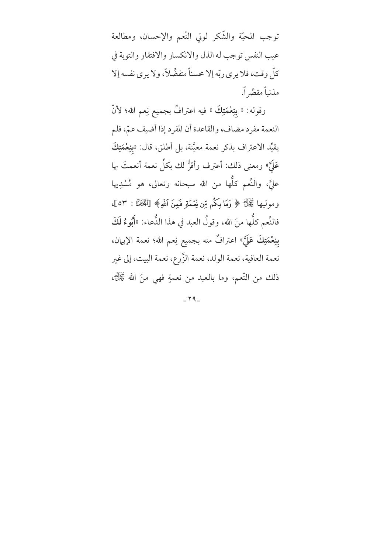توجب المحبّة والشّكر لولى النّعم والإحسان، ومطالعة عيب النفس توجب له الذل والانكسار والافتقار والتوبة في كلِّ وقت، فلا يرى ربِّه إلا محسناً متفضِّلاً، ولا يرى نفسه إلا مذنباً مقصِّر اً.

وقوله: « بنِعْمَتِكَ » فيه اعترافٌ بجميع نِعم الله؛ لأنّ النعمة مفرد مضاف، والقاعدة أن المفرد إذا أضيف عمّ، فلم يقيِّد الاعتراف بذكر نعمة معيَّنة، بل أطلق، قال: «بنِعْمَتِكَ عَلَىَّ» ومعنى ذلك: أعترف وأقرُّ لك بكلِّ نعمة أنعمتَ بها عليَّ، والنَّعم كلُّها من الله سبحانه وتعالى، هو مُسْدِيها وموليها ﷺ ﴿ وَمَا بِكُمْ مِّن نِّعْمَةٍ فَمِنَ ٱللَّهِ﴾ [اللَّهَالَ : ٥٣]، فالنِّعم كلُّها منَ الله، وقولُ العبد في هذا الدُّعاء: «أَبُّوءُ لَكَ بنِعْمَتِكَ عَلَيَّ» اعترافٌ منه بجميع نِعم الله؛ نعمة الإيهان، نعمة العافية، نعمة الولد، نعمة الزَّرع، نعمة البيت، إلى غير ذلك من النَّعم، وما بالعبد من نعمةٍ فهي منَ الله ﷺ،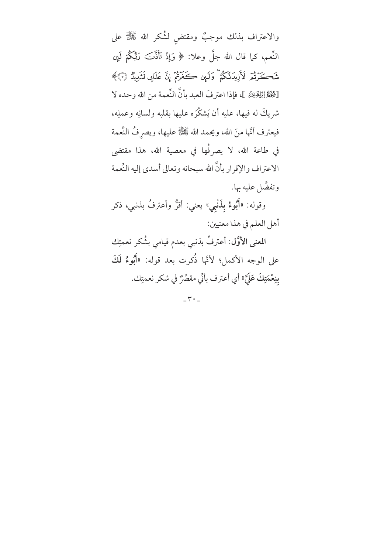والاعتراف بذلك موجبٌ ومقتض لشُكر الله ﷺ على النَّعم، كما قال الله جلَّ وعلا: ﴿ وَإِذْ تَأَذَّنَــَ رَبُّكُمْ لَمِن شَكَرْتُمْ لأَزِيدَنَّكُمْ ۖ وَلَمِن كَفَرْتُمْ إِنَّ عَذَابِي لَشَدِيٌّهُ ۞﴾ [شِخْلَةُ إِبْلِهِيخَةِ ]، فإذا اعترفَ العبد بأنَّ النِّعمة من الله وحده لا شريكَ له فيها، عليه أن يَشكَّرَه عليها بقلبه ولسانِه وعملِه، فيعترف أنَّها منَ الله، ويحمد الله ﷺ عليها، ويصرفُ النِّعمة في طاعة الله، لا يصرفُها في معصية الله، هذا مقتضى الاعتراف والإقرار بأنَّ الله سبحانه وتعالى أسدى إليه النِّعمة وتفضَّل عليه بها. وقوله: «أَبُوءُ بِذَنْبِي» يعني: أقرُّ وأعترفُ بذنبي، ذكر أهل العلم في هذا معنيين:

المعنى الأوَّل: أعترفُ بذنبي بعدم قيامي بشُكر نعمتِك على الوجه الأكمل؛ لأنَّها ذُكرت بعد قوله: «أَبُوءُ لَكَ بِنِعْمَتِكَ عَلَيَّ» أي أعترف بأنِّي مقصِّرٌ في شكر نعمتِك.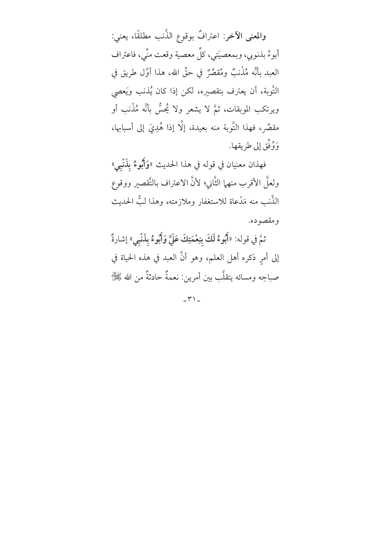والمعنى الآخر: اعترافٌ بوقوع الذَّنب مطلقًا، يعني: أبوءُ بذنوبي، وبمعصيتي، كلِّ معصية وقعت منِّي، فاعتراف العبد بأنَّه مُذْنبٌ ومُقصِّرٌ في حقِّ الله، هذا أوَّل طريق في التَّوبة، أن يعترف بتقصيره، لكن إذا كان يُذنب ويَعصي ويرتكب الموبقات، ثمَّ لا يشعر ولا يُحسُّ بأنَّه مُذْنب أو مقصِّر، فهذا التَّوبة منه بعيدة، إلَّا إذا هُدِيَ إلى أسبابها، وَوُفِّقٍ إِلى طريقها.

فهذان معنيان في قوله في هذا الحديث «وَأَبُوءُ بِذَنْبِي» ولعلَّ الأقرب منهما الثَّاني؛ لأنَّ الاعتراف بالتَّقصير ووقوع الذُّنبِ منه مَدْعاة للاستغفار وملازمته، وهذا لبٌّ الحديث

ومقصوده.

ثمَّ في قوله: «أَبُوءُ لَكَ بِنِعْمَتِكَ عَلَىَّ وَأَبُوءُ بِذَنْبِي» إشارةٌ إلى أمرٍ ذكره أهل العلم، وهو أنَّ العبد في هذه الحياة في صباحِه ومسائه يتقلَّب بين أمرين: نعمةٌ حادثةٌ من الله ﷺ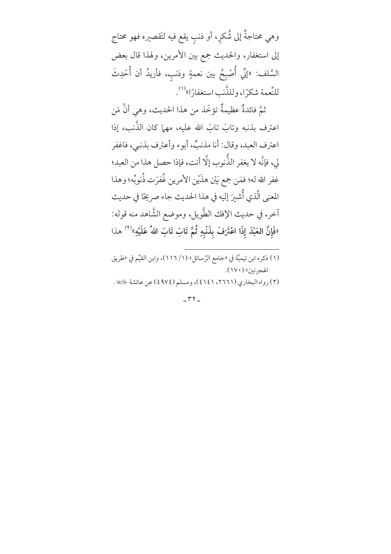وهي محتاجةٌ إلى شُكرٍ، أو ذنبٍ يقع فيه لتَقصيره فهو محتاج إلى استغفار، والحديث جمع بين الأمرين، ولهذا قال بعض السَّلف: «إنِّي أُصْبِحُ بين نعمةٍ وذنبٍ، فأريدُ أن أُحْدِثَ للنِّعمة شكرًا، وللذَّنب استغفارًا»<sup>(١)</sup>.

ثمَّ فائدةٌ عظيمةٌ تؤخَذ من هذا الحديث، وهي أنَّ مَن اعترف بذنبه وتابَ تابَ الله عليه، مهما كان الذَّنب، إذا اعترف العبد، وقال: أنا مذنبٌ، أبوء وأعترف بذنبي، فاغفر لي، فإنَّه لا يغفر الذَّنوب إلَّا أنت، فإذا حصل هذا من العبد؛ غفر الله له؛ فمَن جمع بَيْن هذَيْن الأمرين غُفرَت ذُنوبُه؛ وهذا المعنى الَّذي أُشيرَ إليه في هذا الحديث جاء صريحًا في حديث آخر، في حديث الإفك الطَّويل، وموضع الشَّاهد منه قوله: «فَإِنَّ العَبْدَ إِذَا اعْتَرَفَ بِذَنْبِهِ ثُمَّ تَابَ تَابَ اللهُ عَلَيْهِ»<sup>(٢)</sup> هذا

- (١) ذكره ابن تيميَّة في «جامع الرَّسائل» (١/ ١١٦)، وابن القيِّم في «طريق الهجرتين» (١٧٠).
- (٢) رواه البخاري (٢٦٦١، ٤١٤١)، ومسلم (٤٩٧٤) عن عائشة ﴿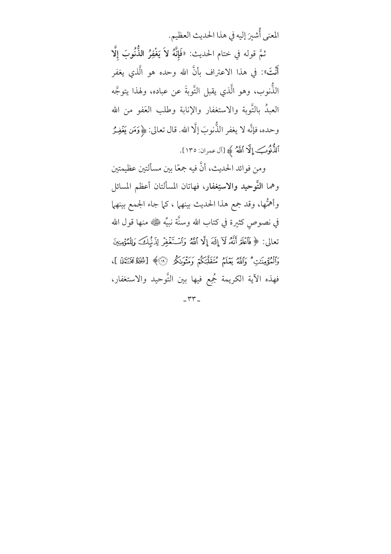المعنى أُشيرَ إليه في هذا الحديث العظيم. ثمَّ قوله في ختام الحديث: «فَإِنَّهُ لاَ يَغْفِرُ النُّنُوبَ إلَّا أَنْتَ»: في هذا الاعتراف بأنَّ الله وحده هو الَّذي يغفر الذُّنوب، وهو الَّذي يقبل التَّوبةَ عن عباده، ولهذا يتوجَّه العبدُ بالتَّوبة والاستغفار والإنابة وطلب العَفو من الله وحده، فإنَّه لا يغفر الذُّنوبَ إلَّا الله. قال تعالى: ﴿وَمَن يَغْفِـرُ اَلذُّنُوبَ إِلَّا اَللَّهُ ﴾ [آل عمران: ١٣٥].

ومن فوائد الحديث، أنَّ فيه جمعًا بين مسألتين عظيمتين وهما التَّوحيد والاستِغفار، فهاتان المسألتان أعظم المسائل وأهمُّها، وقد جمع هذا الحديث بينهما ، كما جاء الجمع بينهما في نصوصٍ كثيرة في كتاب الله وسنَّة نبيِّه ﷺ منها قول الله تعالى: ﴿فَٱعۡلَمۡ أَنَّهُۥ لَآ إِلَٰهَ إِلَّا ٱللَّهُ وَٱسۡتَغۡفِرۡ لِذَٰبۡلِكَ وَلِلۡمُؤۡمِنِينَ وَٱلْمُؤْمِنَٰتِ ۗ وَٱللَّهُ يَعَلَّمُ مُتَقَلِّبَكُمْ وَمَثْوَىٰكُمْ ۚ ۚ لَا يُكُلُّهُ مُخَنَّبَيْنَ ]، فهذه الآية الكريمة مُجِمع فيها بين التَّوحيد والاستغفار،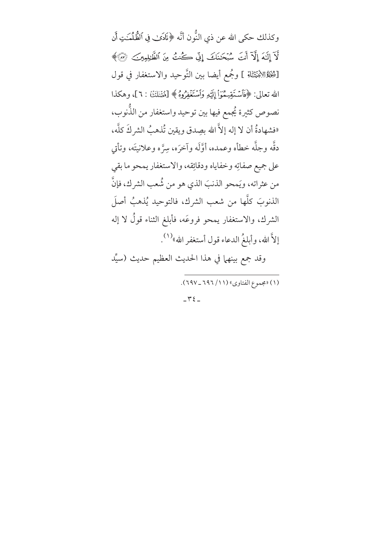وكذلك حكى الله عن ذي النُّون أنَّه ﴿نَادَىٰ فِي اَلظُّلُمَـٰتِ أَن لَآ إِلَـٰهَ إِلَّآ أَنتَ سُبْحَننَكَ إِنِّي كُنتُ مِنَ ٱلظَّٰلِمِينَ ۞﴾ [شِخْلَةِالِالِنَّبِيَّتَانَّهُ ] ومُجمع أيضا بين التَّوحيد والاستغفار في قول الله تعالى: ﴿فَأَسۡتَقِيمُوٓاْ إِلَيۡهِ وَٱسۡتَغۡفِرُوهُ ﴾ [فُصّٰنَكَ : ٦]، وهكذا نصوص كثيرة يُجمع فيها بين توحيد واستغفار من الذُّنوب، «فشهادةُ أن لا إله إلاَّ الله بصِدق ويقين تُذهبُ الشركَ كلَّه، دقُّه وجلُّه خطأه وعمده، أوَّلَه وآخرَه، سِرَّه وعلانيتَه، وتأتي على جميع صفاتِه وخفاياه ودقائِقه، والاستغفار يمحو ما بقى من عثراته، ويَمحو الذنبَ الذي هو من شُعب الشرك، فإنَّ الذنوبَ كلَّها من شعب الشرك، فالتوحيد يُذهبُ أصلَ الشرك، والاستغفار يمحو فروعَه، فأبلغ الثناء قولٌ لا إله إلاَّ الله، وأبلغُ الدعاء قول أستغفر الله»<sup>(١)</sup>. وقد جمع بينهما في هذا الحديث العظيم حديث (سيِّد (١) «مجموع الفتاوي» (١١/ ٦٩٦ \_ ٦٩٧).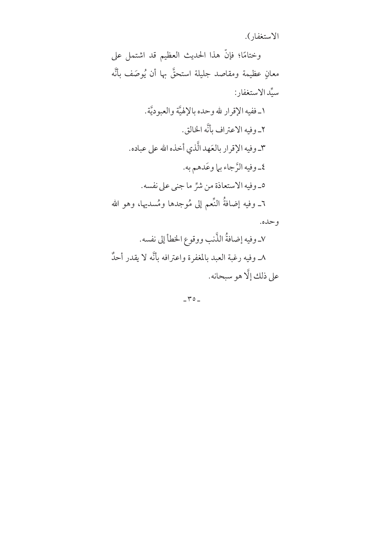الاستغفار).

وختامًا؛ فإنَّ هذا الحديث العظيم قد اشتمل على معانٍ عظيمة ومقاصد جليلة استحقَّ بها أن يُوصَف بأنَّه سيِّد الاستغفار :

١ـ ففيه الإقرار لله وحده بالإلهيَّة والعبو ديَّة.

٢ـ وفيه الاعتراف بأنَّه الخالق.

٣ـ وفيه الإقرار بالعَهد الَّذي أخذه الله على عباده.

٤\_وفيه الرَّجاء بي| وعَدهم به.

٥\_ وفيه الاستعاذة من شرٌّ ما جني على نفسه. ٦ـ وفيه إضافةُ النِّعم إلى مُوجدها ومُسديها، وهو الله

و حده.

٧ـ وفيه إضافةُ الذَّنب ووقوع الخطأ إلى نفسه. ٨ـ وفيه رغبة العبد بالمغفرة واعترافه بأنَّه لا يقدر أحدٌ على ذلك إلَّا هو سبحانه.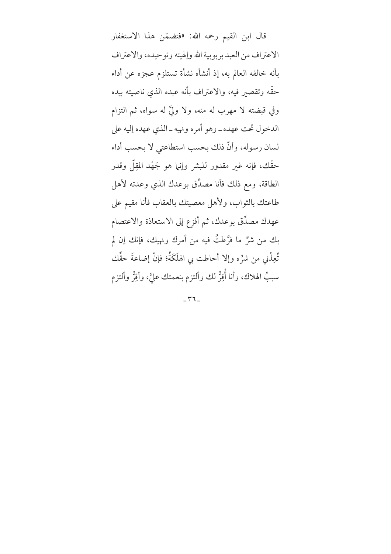قال ابن القيم رحمه الله: «فتضمّن هذا الاستغفار الاعتراف من العبد بربوبية الله وإلهيته وتوحيده، والاعتراف بأنه خالقه العالم به، إذ أنشأه نشأة تستلزم عجزه عن أداء حقَّه وتقصير فيه، والاعتراف بأنه عبده الذي ناصيته بيده وفي قبضته لا مهرب له منه، ولا وليَّ له سواه، ثم التزام الدخول تحت عهده ـ وهو أمره ونهيه ـ الذي عهده إليه على لسان رسوله، وأنَّ ذلك بحسب استطاعتي لا بحسب أداء حقَّك، فإنه غير مقدور للبشر وإنها هو جَهْد المقِلُّ وقدر الطاقة، ومع ذلك فأنا مصدِّق بوعدك الذي وعدته لأهل طاعتك بالثواب، ولأهل معصيتك بالعقاب فأنا مقيم على عهدك مصدِّق بوعدك، ثم أفزع إلى الاستعاذة والاعتصام بك من شرٍّ ما فرَّطتُ فيه من أمرك ونهيك، فإنك إن لم تُعِذْنِي مِن شرٍّ ه وإلا أحاطت بي الهلَكَةُ؛ فإنَّ إضاعةَ حقِّك سببُ الهلاك، وأنا أُقِرُّ لك وألتزم بنعمتك عليَّ، وأقِرُّ وألتزم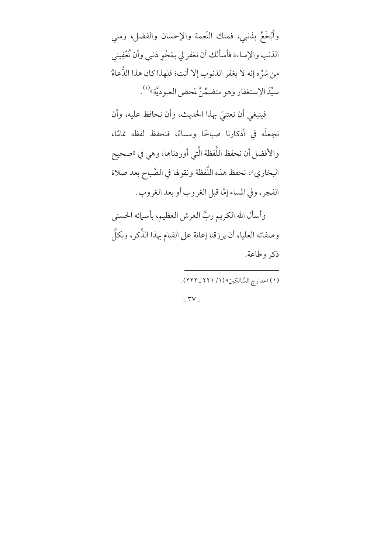وأَبْخَعُ بذنبي، فمنك النَّعمة والإحسان والفضل، ومني الذنب والإساءة فأسألك أن تغفر لي بمَحْو ذنبي وأن تُعْفِيني من شرِّه إنه لا يغفر الذنوب إلا أنت؛ فلهذا كان هذا الدُّعاءُ سيِّدَ الإستغفار وهو متضمِّنٌ لمحض العبوديَّة»'''.

فينبغي أن نعتنيَ بهذا الحديث، وأن نحافظ عليه، وأن نجعلَه في أذكارنا صباحًا ومساءً، فنحفظ لفظه تمامًا، والأفضل أن نحفظ اللَّفظة الَّتي أوردناها، وهي في «صحيح البخاري»، نحفظ هذه اللَّفظة ونقولها في الصَّباح بعد صلاة الفجر، وفي المساء إمَّا قبل الغروب أو بعد الغروب.

وأسأل الله الكريم ربَّ العرش العظيم، بأسمائه الحسنى وصفاته العليا، أن يرزقنا إعانة على القيام بهذا الذِّكر، وبكلِّ ذكر وطاعة.

(١) «مدارج السَّالكين» (١/ ٢٢١ \_ ٢٢٢).